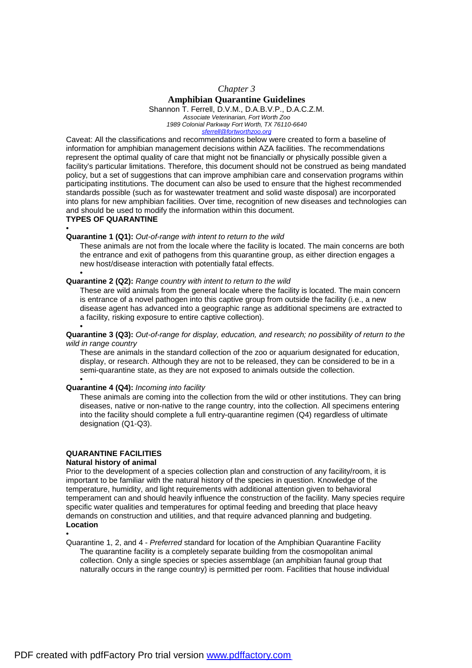## *Chapter 3*

## **Amphibian Quarantine Guidelines**

Shannon T. Ferrell, D.V.M., D.A.B.V.P., D.A.C.Z.M. *Associate Veterinarian, Fort Worth Zoo 1989 Colonial Parkway Fort Worth, TX 76110-6640* 

*[sferrell@fortworthzoo.org](mailto:sferrell@fortworthzoo.org)*

Caveat: All the classifications and recommendations below were created to form a baseline of information for amphibian management decisions within AZA facilities. The recommendations represent the optimal quality of care that might not be financially or physically possible given a facility's particular limitations. Therefore, this document should not be construed as being mandated policy, but a set of suggestions that can improve amphibian care and conservation programs within participating institutions. The document can also be used to ensure that the highest recommended standards possible (such as for wastewater treatment and solid waste disposal) are incorporated into plans for new amphibian facilities. Over time, recognition of new diseases and technologies can and should be used to modify the information within this document.

### **TYPES OF QUARANTINE**

•

•

## **Quarantine 1 (Q1):** *Out-of-range with intent to return to the wild*

These animals are not from the locale where the facility is located. The main concerns are both the entrance and exit of pathogens from this quarantine group, as either direction engages a new host/disease interaction with potentially fatal effects.

## **Quarantine 2 (Q2):** *Range country with intent to return to the wild*

These are wild animals from the general locale where the facility is located. The main concern is entrance of a novel pathogen into this captive group from outside the facility (i.e., a new disease agent has advanced into a geographic range as additional specimens are extracted to a facility, risking exposure to entire captive collection). •

## **Quarantine 3 (Q3):** *Out-of-range for display, education, and research; no possibility of return to the wild in range country*

These are animals in the standard collection of the zoo or aquarium designated for education, display, or research. Although they are not to be released, they can be considered to be in a semi-quarantine state, as they are not exposed to animals outside the collection.

### • **Quarantine 4 (Q4):** *Incoming into facility*

These animals are coming into the collection from the wild or other institutions. They can bring diseases, native or non-native to the range country, into the collection. All specimens entering into the facility should complete a full entry-quarantine regimen (Q4) regardless of ultimate designation (Q1-Q3).

## **QUARANTINE FACILITIES**

### **Natural history of animal**

Prior to the development of a species collection plan and construction of any facility/room, it is important to be familiar with the natural history of the species in question. Knowledge of the temperature, humidity, and light requirements with additional attention given to behavioral temperament can and should heavily influence the construction of the facility. Many species require specific water qualities and temperatures for optimal feeding and breeding that place heavy demands on construction and utilities, and that require advanced planning and budgeting. **Location** 

•

Quarantine 1, 2, and 4 - *Preferred* standard for location of the Amphibian Quarantine Facility The quarantine facility is a completely separate building from the cosmopolitan animal collection. Only a single species or species assemblage (an amphibian faunal group that naturally occurs in the range country) is permitted per room. Facilities that house individual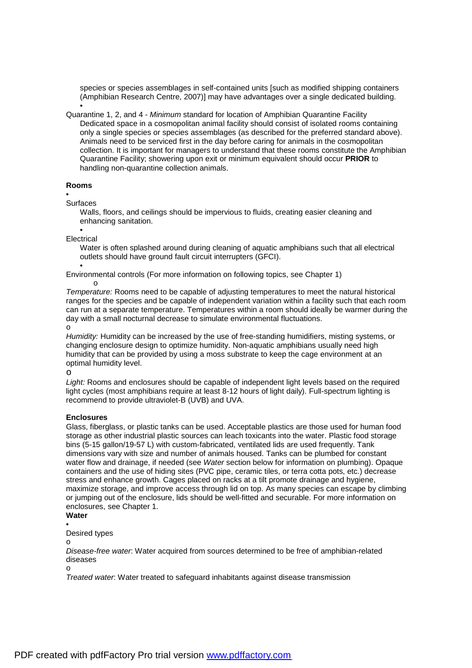species or species assemblages in self-contained units [such as modified shipping containers (Amphibian Research Centre, 2007)] may have advantages over a single dedicated building. •

Quarantine 1, 2, and 4 - *Minimum* standard for location of Amphibian Quarantine Facility Dedicated space in a cosmopolitan animal facility should consist of isolated rooms containing only a single species or species assemblages (as described for the preferred standard above). Animals need to be serviced first in the day before caring for animals in the cosmopolitan collection. It is important for managers to understand that these rooms constitute the Amphibian Quarantine Facility; showering upon exit or minimum equivalent should occur **PRIOR** to handling non-quarantine collection animals.

## **Rooms**

## •

Surfaces

Walls, floors, and ceilings should be impervious to fluids, creating easier cleaning and enhancing sanitation.

• Electrical

> Water is often splashed around during cleaning of aquatic amphibians such that all electrical outlets should have ground fault circuit interrupters (GFCI).

• Environmental controls (For more information on following topics, see Chapter 1)

o *Temperature:* Rooms need to be capable of adjusting temperatures to meet the natural historical ranges for the species and be capable of independent variation within a facility such that each room can run at a separate temperature. Temperatures within a room should ideally be warmer during the day with a small nocturnal decrease to simulate environmental fluctuations. o

*Humidity:* Humidity can be increased by the use of free-standing humidifiers, misting systems, or changing enclosure design to optimize humidity. Non-aquatic amphibians usually need high humidity that can be provided by using a moss substrate to keep the cage environment at an optimal humidity level.

o

*Light:* Rooms and enclosures should be capable of independent light levels based on the required light cycles (most amphibians require at least 8-12 hours of light daily). Full-spectrum lighting is recommend to provide ultraviolet-B (UVB) and UVA.

## **Enclosures**

Glass, fiberglass, or plastic tanks can be used. Acceptable plastics are those used for human food storage as other industrial plastic sources can leach toxicants into the water. Plastic food storage bins (5-15 gallon/19-57 L) with custom-fabricated, ventilated lids are used frequently. Tank dimensions vary with size and number of animals housed. Tanks can be plumbed for constant water flow and drainage, if needed (see *Water* section below for information on plumbing). Opaque containers and the use of hiding sites (PVC pipe, ceramic tiles, or terra cotta pots, etc.) decrease stress and enhance growth. Cages placed on racks at a tilt promote drainage and hygiene, maximize storage, and improve access through lid on top. As many species can escape by climbing or jumping out of the enclosure, lids should be well-fitted and securable. For more information on enclosures, see Chapter 1.

## **Water**  •

Desired types

o

*Disease-free water*: Water acquired from sources determined to be free of amphibian-related diseases

o

*Treated water*: Water treated to safeguard inhabitants against disease transmission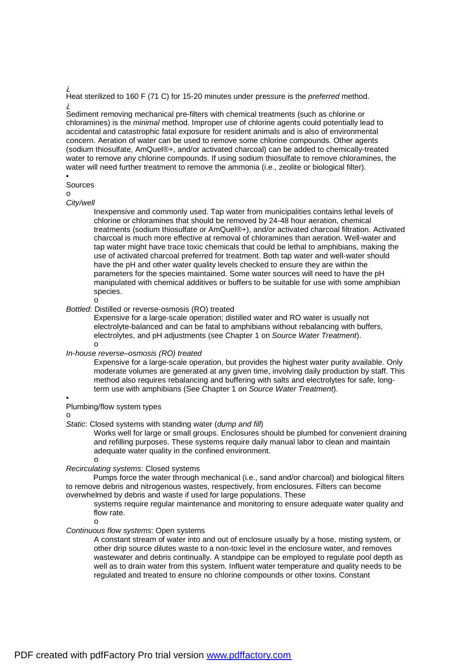# À

Heat sterilized to 160 F (71 C) for 15-20 minutes under pressure is the *preferred* method. À

Sediment removing mechanical pre-filters with chemical treatments (such as chlorine or chloramines) is the *minimal* method. Improper use of chlorine agents could potentially lead to accidental and catastrophic fatal exposure for resident animals and is also of environmental concern. Aeration of water can be used to remove some chlorine compounds. Other agents (sodium thiosulfate, AmQuel®+, and/or activated charcoal) can be added to chemically-treated water to remove any chlorine compounds. If using sodium thiosulfate to remove chloramines, the water will need further treatment to remove the ammonia (i.e., zeolite or biological filter).

#### • Sources

# o

*City/well* 

Inexpensive and commonly used. Tap water from municipalities contains lethal levels of chlorine or chloramines that should be removed by 24-48 hour aeration, chemical treatments (sodium thiosulfate or AmQuel®+), and/or activated charcoal filtration. Activated charcoal is much more effective at removal of chloramines than aeration. Well-water and tap water might have trace toxic chemicals that could be lethal to amphibians, making the use of activated charcoal preferred for treatment. Both tap water and well-water should have the pH and other water quality levels checked to ensure they are within the parameters for the species maintained. Some water sources will need to have the pH manipulated with chemical additives or buffers to be suitable for use with some amphibian species.

### o

## *Bottled*: Distilled or reverse-osmosis (RO) treated

Expensive for a large-scale operation; distilled water and RO water is usually not electrolyte-balanced and can be fatal to amphibians without rebalancing with buffers, electrolytes, and pH adjustments (see Chapter 1 on *Source Water Treatment*). o

## *In-house reverse–osmosis (RO) treated*

Expensive for a large-scale operation, but provides the highest water purity available. Only moderate volumes are generated at any given time, involving daily production by staff. This method also requires rebalancing and buffering with salts and electrolytes for safe, longterm use with amphibians (See Chapter 1 on *Source Water Treatment*).

#### •

## Plumbing/flow system types

o

## *Static*: Closed systems with standing water (*dump and fill*)

Works well for large or small groups. Enclosures should be plumbed for convenient draining and refilling purposes. These systems require daily manual labor to clean and maintain adequate water quality in the confined environment.

o

o

# *Recirculating systems*: Closed systems

Pumps force the water through mechanical (i.e., sand and/or charcoal) and biological filters to remove debris and nitrogenous wastes, respectively, from enclosures. Filters can become overwhelmed by debris and waste if used for large populations. These

systems require regular maintenance and monitoring to ensure adequate water quality and flow rate.

# *Continuous flow systems*: Open systems

A constant stream of water into and out of enclosure usually by a hose, misting system, or other drip source dilutes waste to a non-toxic level in the enclosure water, and removes wastewater and debris continually. A standpipe can be employed to regulate pool depth as well as to drain water from this system. Influent water temperature and quality needs to be regulated and treated to ensure no chlorine compounds or other toxins. Constant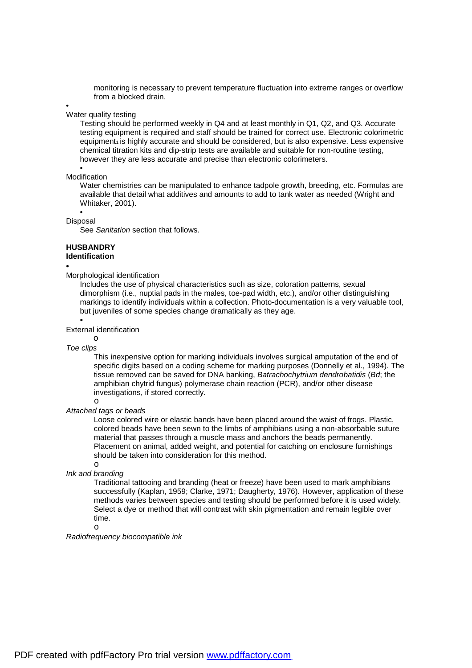monitoring is necessary to prevent temperature fluctuation into extreme ranges or overflow from a blocked drain.

### • Water quality testing

Testing should be performed weekly in Q4 and at least monthly in Q1, Q2, and Q3. Accurate testing equipment is required and staff should be trained for correct use. Electronic colorimetric equipment1 is highly accurate and should be considered, but is also expensive. Less expensive chemical titration kits and dip-strip tests are available and suitable for non-routine testing, however they are less accurate and precise than electronic colorimeters.

### • Modification

Water chemistries can be manipulated to enhance tadpole growth, breeding, etc. Formulas are available that detail what additives and amounts to add to tank water as needed (Wright and Whitaker, 2001).

• Disposal

See *Sanitation* section that follows.

## **HUSBANDRY Identification**

## •

Morphological identification

Includes the use of physical characteristics such as size, coloration patterns, sexual dimorphism (i.e., nuptial pads in the males, toe-pad width, etc.), and/or other distinguishing markings to identify individuals within a collection. Photo-documentation is a very valuable tool, but juveniles of some species change dramatically as they age.

### External identification

o

•

*Toe clips* 

This inexpensive option for marking individuals involves surgical amputation of the end of specific digits based on a coding scheme for marking purposes (Donnelly et al., 1994). The tissue removed can be saved for DNA banking, *Batrachochytrium dendrobatidis* (*Bd*; the amphibian chytrid fungus) polymerase chain reaction (PCR), and/or other disease investigations, if stored correctly.

## o *Attached tags or beads*

Loose colored wire or elastic bands have been placed around the waist of frogs. Plastic, colored beads have been sewn to the limbs of amphibians using a non-absorbable suture material that passes through a muscle mass and anchors the beads permanently. Placement on animal, added weight, and potential for catching on enclosure furnishings should be taken into consideration for this method.

o

## *Ink and branding*

Traditional tattooing and branding (heat or freeze) have been used to mark amphibians successfully (Kaplan, 1959; Clarke, 1971; Daugherty, 1976). However, application of these methods varies between species and testing should be performed before it is used widely. Select a dye or method that will contrast with skin pigmentation and remain legible over time.

o

## *Radiofrequency biocompatible ink*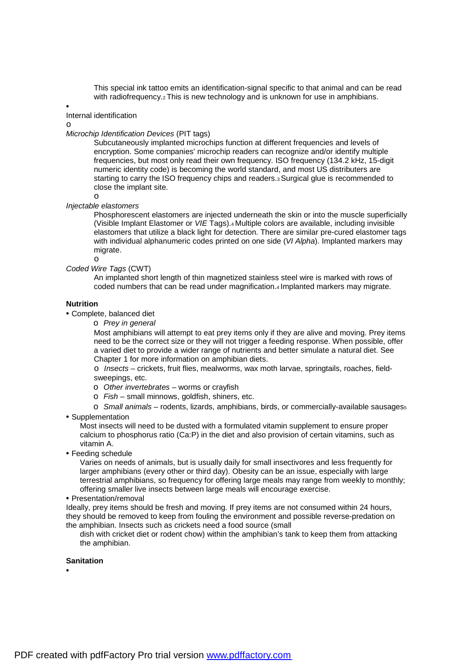This special ink tattoo emits an identification-signal specific to that animal and can be read with radiofrequency.<sub>2</sub> This is new technology and is unknown for use in amphibians.

•

Internal identification

o

*Microchip Identification Devices* (PIT tags)

Subcutaneously implanted microchips function at different frequencies and levels of encryption. Some companies' microchip readers can recognize and/or identify multiple frequencies, but most only read their own frequency. ISO frequency (134.2 kHz, 15-digit numeric identity code) is becoming the world standard, and most US distributers are starting to carry the ISO frequency chips and readers.3 Surgical glue is recommended to close the implant site.

o *Injectable elastomers* 

o

Phosphorescent elastomers are injected underneath the skin or into the muscle superficially (Visible Implant Elastomer or *VIE* Tags).4 Multiple colors are available, including invisible elastomers that utilize a black light for detection. There are similar pre-cured elastomer tags with individual alphanumeric codes printed on one side (*VI Alpha*). Implanted markers may migrate.

*Coded Wire Tags* (CWT)

An implanted short length of thin magnetized stainless steel wire is marked with rows of coded numbers that can be read under magnification.4 Implanted markers may migrate.

## **Nutrition**

- Complete, balanced diet
	- o *Prey in general*

Most amphibians will attempt to eat prey items only if they are alive and moving. Prey items need to be the correct size or they will not trigger a feeding response. When possible, offer a varied diet to provide a wider range of nutrients and better simulate a natural diet. See Chapter 1 for more information on amphibian diets.

o *Insects* – crickets, fruit flies, mealworms, wax moth larvae, springtails, roaches, fieldsweepings, etc.

- o *Other invertebrates*  worms or crayfish
- o *Fish*  small minnows, goldfish, shiners, etc.

o *Small animals* – rodents, lizards, amphibians, birds, or commercially-available sausages<sup>5</sup>

• Supplementation

Most insects will need to be dusted with a formulated vitamin supplement to ensure proper calcium to phosphorus ratio (Ca:P) in the diet and also provision of certain vitamins, such as vitamin A.

• Feeding schedule

Varies on needs of animals, but is usually daily for small insectivores and less frequently for larger amphibians (every other or third day). Obesity can be an issue, especially with large terrestrial amphibians, so frequency for offering large meals may range from weekly to monthly; offering smaller live insects between large meals will encourage exercise.

• Presentation/removal

Ideally, prey items should be fresh and moving. If prey items are not consumed within 24 hours, they should be removed to keep from fouling the environment and possible reverse-predation on the amphibian. Insects such as crickets need a food source (small

dish with cricket diet or rodent chow) within the amphibian's tank to keep them from attacking the amphibian.

## **Sanitation**

•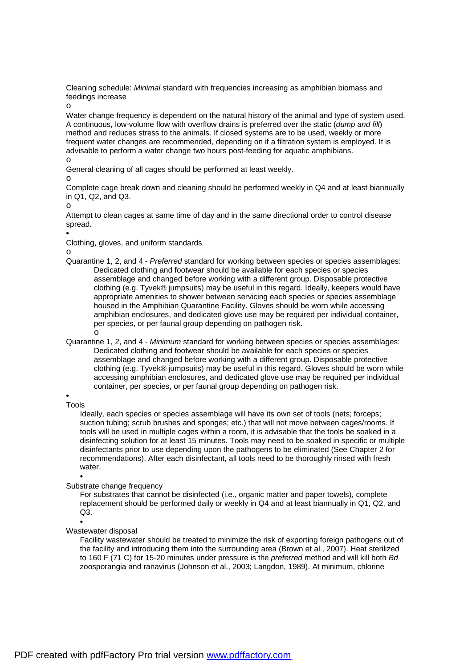Cleaning schedule: *Minimal* standard with frequencies increasing as amphibian biomass and feedings increase

o

Water change frequency is dependent on the natural history of the animal and type of system used. A continuous, low-volume flow with overflow drains is preferred over the static (*dump and fill*) method and reduces stress to the animals. If closed systems are to be used, weekly or more frequent water changes are recommended, depending on if a filtration system is employed. It is advisable to perform a water change two hours post-feeding for aquatic amphibians.

o

General cleaning of all cages should be performed at least weekly.

o

Complete cage break down and cleaning should be performed weekly in Q4 and at least biannually in Q1, Q2, and Q3.

o

Attempt to clean cages at same time of day and in the same directional order to control disease spread.

•

Clothing, gloves, and uniform standards

o

- Quarantine 1, 2, and 4 *Preferred* standard for working between species or species assemblages: Dedicated clothing and footwear should be available for each species or species assemblage and changed before working with a different group. Disposable protective clothing (e.g. Tyvek® jumpsuits) may be useful in this regard. Ideally, keepers would have appropriate amenities to shower between servicing each species or species assemblage housed in the Amphibian Quarantine Facility. Gloves should be worn while accessing amphibian enclosures, and dedicated glove use may be required per individual container, per species, or per faunal group depending on pathogen risk. o
- Quarantine 1, 2, and 4 *Minimum* standard for working between species or species assemblages: Dedicated clothing and footwear should be available for each species or species assemblage and changed before working with a different group. Disposable protective clothing (e.g. Tyvek® jumpsuits) may be useful in this regard. Gloves should be worn while accessing amphibian enclosures, and dedicated glove use may be required per individual container, per species, or per faunal group depending on pathogen risk.

• Tools

> Ideally, each species or species assemblage will have its own set of tools (nets; forceps; suction tubing; scrub brushes and sponges; etc.) that will not move between cages/rooms. If tools will be used in multiple cages within a room, it is advisable that the tools be soaked in a disinfecting solution for at least 15 minutes. Tools may need to be soaked in specific or multiple disinfectants prior to use depending upon the pathogens to be eliminated (See Chapter 2 for recommendations). After each disinfectant, all tools need to be thoroughly rinsed with fresh water.

•

Substrate change frequency

For substrates that cannot be disinfected (i.e., organic matter and paper towels), complete replacement should be performed daily or weekly in Q4 and at least biannually in Q1, Q2, and  $Q3$ .

•

## Wastewater disposal

Facility wastewater should be treated to minimize the risk of exporting foreign pathogens out of the facility and introducing them into the surrounding area (Brown et al., 2007). Heat sterilized to 160 F (71 C) for 15-20 minutes under pressure is the *preferred* method and will kill both *Bd*  zoosporangia and ranavirus (Johnson et al., 2003; Langdon, 1989). At minimum, chlorine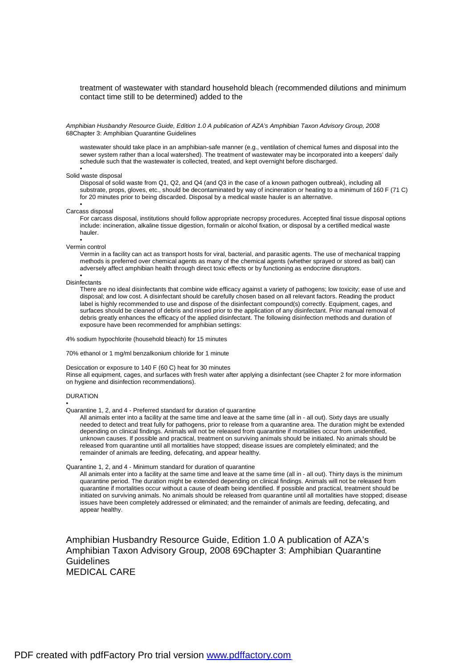### treatment of wastewater with standard household bleach (recommended dilutions and minimum contact time still to be determined) added to the

*Amphibian Husbandry Resource Guide, Edition 1.0 A publication of AZA's Amphibian Taxon Advisory Group, 2008*  68Chapter 3: Amphibian Quarantine Guidelines

wastewater should take place in an amphibian-safe manner (e.g., ventilation of chemical fumes and disposal into the sewer system rather than a local watershed). The treatment of wastewater may be incorporated into a keepers' daily schedule such that the wastewater is collected, treated, and kept overnight before discharged.

#### • Solid waste disposal

Disposal of solid waste from Q1, Q2, and Q4 (and Q3 in the case of a known pathogen outbreak), including all substrate, props, gloves, etc., should be decontaminated by way of incineration or heating to a minimum of 160 F (71 C) for 20 minutes prior to being discarded. Disposal by a medical waste hauler is an alternative.

#### • Carcass disposal

For carcass disposal, institutions should follow appropriate necropsy procedures. Accepted final tissue disposal options include: incineration, alkaline tissue digestion, formalin or alcohol fixation, or disposal by a certified medical waste hauler.

#### • Vermin control

Vermin in a facility can act as transport hosts for viral, bacterial, and parasitic agents. The use of mechanical trapping methods is preferred over chemical agents as many of the chemical agents (whether sprayed or stored as bait) can adversely affect amphibian health through direct toxic effects or by functioning as endocrine disruptors.

#### • **Disinfectants**

There are no ideal disinfectants that combine wide efficacy against a variety of pathogens; low toxicity; ease of use and disposal; and low cost. A disinfectant should be carefully chosen based on all relevant factors. Reading the product label is highly recommended to use and dispose of the disinfectant compound(s) correctly. Equipment, cages, and surfaces should be cleaned of debris and rinsed prior to the application of any disinfectant. Prior manual removal of debris greatly enhances the efficacy of the applied disinfectant. The following disinfection methods and duration of exposure have been recommended for amphibian settings:

4% sodium hypochlorite (household bleach) for 15 minutes

70% ethanol or 1 mg/ml benzalkonium chloride for 1 minute

#### Desiccation or exposure to 140 F (60 C) heat for 30 minutes

Rinse all equipment, cages, and surfaces with fresh water after applying a disinfectant (see Chapter 2 for more information on hygiene and disinfection recommendations).

### DURATION

•

•

#### Quarantine 1, 2, and 4 - Preferred standard for duration of quarantine

All animals enter into a facility at the same time and leave at the same time (all in - all out). Sixty days are usually needed to detect and treat fully for pathogens, prior to release from a quarantine area. The duration might be extended depending on clinical findings. Animals will not be released from quarantine if mortalities occur from unidentified, unknown causes. If possible and practical, treatment on surviving animals should be initiated. No animals should be released from quarantine until all mortalities have stopped; disease issues are completely eliminated; and the remainder of animals are feeding, defecating, and appear healthy.

#### Quarantine 1, 2, and 4 - Minimum standard for duration of quarantine

All animals enter into a facility at the same time and leave at the same time (all in - all out). Thirty days is the minimum quarantine period. The duration might be extended depending on clinical findings. Animals will not be released from quarantine if mortalities occur without a cause of death being identified. If possible and practical, treatment should be initiated on surviving animals. No animals should be released from quarantine until all mortalities have stopped; disease issues have been completely addressed or eliminated; and the remainder of animals are feeding, defecating, and appear healthy.

Amphibian Husbandry Resource Guide, Edition 1.0 A publication of AZA's Amphibian Taxon Advisory Group, 2008 69Chapter 3: Amphibian Quarantine Guidelines MEDICAL CARE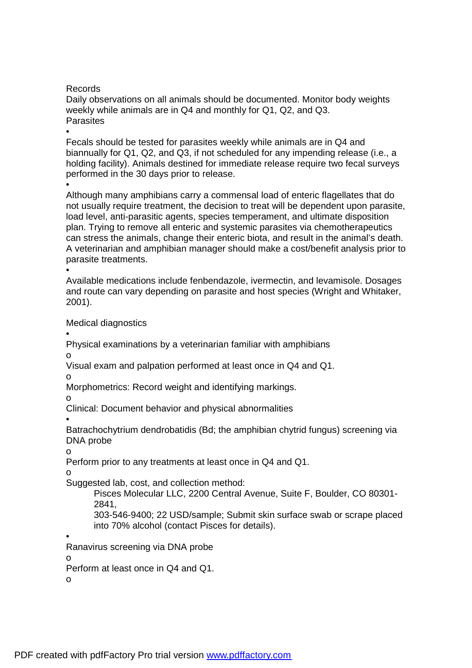Records

Daily observations on all animals should be documented. Monitor body weights weekly while animals are in Q4 and monthly for Q1, Q2, and Q3. **Parasites** 

• Fecals should be tested for parasites weekly while animals are in Q4 and biannually for Q1, Q2, and Q3, if not scheduled for any impending release (i.e., a holding facility). Animals destined for immediate release require two fecal surveys performed in the 30 days prior to release.

•

Although many amphibians carry a commensal load of enteric flagellates that do not usually require treatment, the decision to treat will be dependent upon parasite, load level, anti-parasitic agents, species temperament, and ultimate disposition plan. Trying to remove all enteric and systemic parasites via chemotherapeutics can stress the animals, change their enteric biota, and result in the animal's death. A veterinarian and amphibian manager should make a cost/benefit analysis prior to parasite treatments.

•

Available medications include fenbendazole, ivermectin, and levamisole. Dosages and route can vary depending on parasite and host species (Wright and Whitaker, 2001).

Medical diagnostics

•

Physical examinations by a veterinarian familiar with amphibians o

Visual exam and palpation performed at least once in Q4 and Q1.

o

Morphometrics: Record weight and identifying markings.

o

Clinical: Document behavior and physical abnormalities

•

Batrachochytrium dendrobatidis (Bd; the amphibian chytrid fungus) screening via DNA probe

o

Perform prior to any treatments at least once in Q4 and Q1.

o

Suggested lab, cost, and collection method:

Pisces Molecular LLC, 2200 Central Avenue, Suite F, Boulder, CO 80301- 2841,

303-546-9400; 22 USD/sample; Submit skin surface swab or scrape placed into 70% alcohol (contact Pisces for details).

•

Ranavirus screening via DNA probe

o

Perform at least once in Q4 and Q1.

o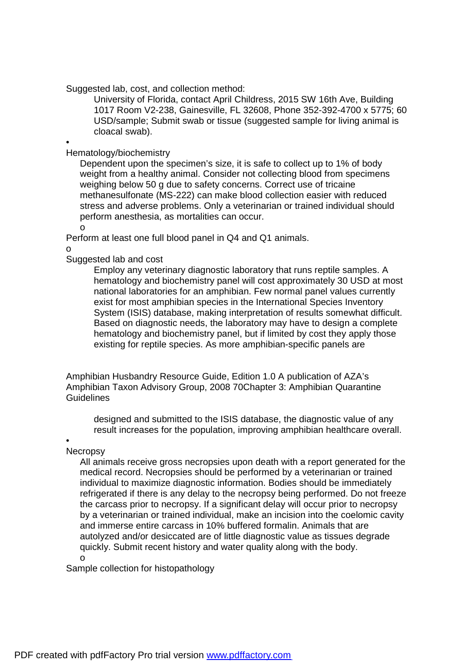Suggested lab, cost, and collection method:

University of Florida, contact April Childress, 2015 SW 16th Ave, Building 1017 Room V2-238, Gainesville, FL 32608, Phone 352-392-4700 x 5775; 60 USD/sample; Submit swab or tissue (suggested sample for living animal is cloacal swab).

•

Hematology/biochemistry

Dependent upon the specimen's size, it is safe to collect up to 1% of body weight from a healthy animal. Consider not collecting blood from specimens weighing below 50 g due to safety concerns. Correct use of tricaine methanesulfonate (MS-222) can make blood collection easier with reduced stress and adverse problems. Only a veterinarian or trained individual should perform anesthesia, as mortalities can occur.

o

Perform at least one full blood panel in Q4 and Q1 animals.

o

Suggested lab and cost

Employ any veterinary diagnostic laboratory that runs reptile samples. A hematology and biochemistry panel will cost approximately 30 USD at most national laboratories for an amphibian. Few normal panel values currently exist for most amphibian species in the International Species Inventory System (ISIS) database, making interpretation of results somewhat difficult. Based on diagnostic needs, the laboratory may have to design a complete hematology and biochemistry panel, but if limited by cost they apply those existing for reptile species. As more amphibian-specific panels are

Amphibian Husbandry Resource Guide, Edition 1.0 A publication of AZA's Amphibian Taxon Advisory Group, 2008 70Chapter 3: Amphibian Quarantine **Guidelines** 

designed and submitted to the ISIS database, the diagnostic value of any result increases for the population, improving amphibian healthcare overall.

•

**Necropsy** 

All animals receive gross necropsies upon death with a report generated for the medical record. Necropsies should be performed by a veterinarian or trained individual to maximize diagnostic information. Bodies should be immediately refrigerated if there is any delay to the necropsy being performed. Do not freeze the carcass prior to necropsy. If a significant delay will occur prior to necropsy by a veterinarian or trained individual, make an incision into the coelomic cavity and immerse entire carcass in 10% buffered formalin. Animals that are autolyzed and/or desiccated are of little diagnostic value as tissues degrade quickly. Submit recent history and water quality along with the body. o

Sample collection for histopathology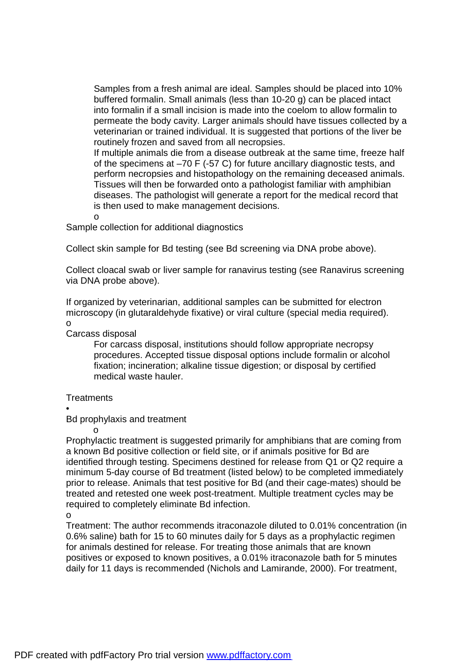Samples from a fresh animal are ideal. Samples should be placed into 10% buffered formalin. Small animals (less than 10-20 g) can be placed intact into formalin if a small incision is made into the coelom to allow formalin to permeate the body cavity. Larger animals should have tissues collected by a veterinarian or trained individual. It is suggested that portions of the liver be routinely frozen and saved from all necropsies.

If multiple animals die from a disease outbreak at the same time, freeze half of the specimens at –70 F (-57 C) for future ancillary diagnostic tests, and perform necropsies and histopathology on the remaining deceased animals. Tissues will then be forwarded onto a pathologist familiar with amphibian diseases. The pathologist will generate a report for the medical record that is then used to make management decisions.

o

Sample collection for additional diagnostics

Collect skin sample for Bd testing (see Bd screening via DNA probe above).

Collect cloacal swab or liver sample for ranavirus testing (see Ranavirus screening via DNA probe above).

If organized by veterinarian, additional samples can be submitted for electron microscopy (in glutaraldehyde fixative) or viral culture (special media required). o

Carcass disposal

For carcass disposal, institutions should follow appropriate necropsy procedures. Accepted tissue disposal options include formalin or alcohol fixation; incineration; alkaline tissue digestion; or disposal by certified medical waste hauler.

**Treatments** 

o

•

Bd prophylaxis and treatment

Prophylactic treatment is suggested primarily for amphibians that are coming from a known Bd positive collection or field site, or if animals positive for Bd are identified through testing. Specimens destined for release from Q1 or Q2 require a minimum 5-day course of Bd treatment (listed below) to be completed immediately prior to release. Animals that test positive for Bd (and their cage-mates) should be treated and retested one week post-treatment. Multiple treatment cycles may be required to completely eliminate Bd infection.

Treatment: The author recommends itraconazole diluted to 0.01% concentration (in 0.6% saline) bath for 15 to 60 minutes daily for 5 days as a prophylactic regimen for animals destined for release. For treating those animals that are known positives or exposed to known positives, a 0.01% itraconazole bath for 5 minutes daily for 11 days is recommended (Nichols and Lamirande, 2000). For treatment,

o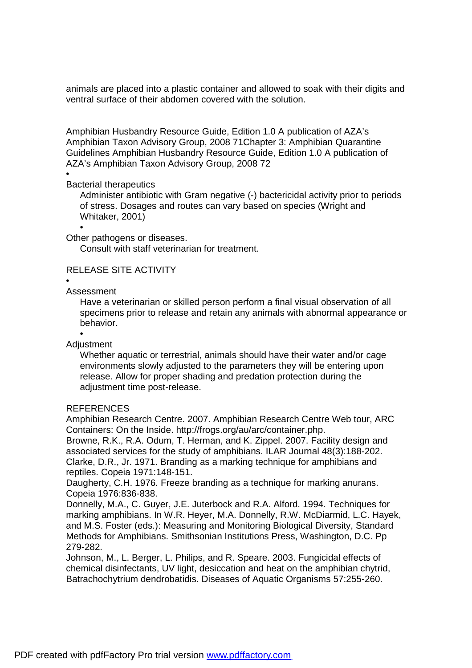animals are placed into a plastic container and allowed to soak with their digits and ventral surface of their abdomen covered with the solution.

Amphibian Husbandry Resource Guide, Edition 1.0 A publication of AZA's Amphibian Taxon Advisory Group, 2008 71Chapter 3: Amphibian Quarantine Guidelines Amphibian Husbandry Resource Guide, Edition 1.0 A publication of AZA's Amphibian Taxon Advisory Group, 2008 72

## •

# Bacterial therapeutics

Administer antibiotic with Gram negative (-) bactericidal activity prior to periods of stress. Dosages and routes can vary based on species (Wright and Whitaker, 2001)

Other pathogens or diseases.

Consult with staff veterinarian for treatment.

# RELEASE SITE ACTIVITY

•

# Assessment

•

Have a veterinarian or skilled person perform a final visual observation of all specimens prior to release and retain any animals with abnormal appearance or behavior.

**Adjustment** 

•

Whether aquatic or terrestrial, animals should have their water and/or cage environments slowly adjusted to the parameters they will be entering upon release. Allow for proper shading and predation protection during the adiustment time post-release.

## **REFERENCES**

Amphibian Research Centre. 2007. Amphibian Research Centre Web tour, ARC Containers: On the Inside.<http://frogs.org/au/arc/container.php>.

Browne, R.K., R.A. Odum, T. Herman, and K. Zippel. 2007. Facility design and associated services for the study of amphibians. ILAR Journal 48(3):188-202. Clarke, D.R., Jr. 1971. Branding as a marking technique for amphibians and reptiles. Copeia 1971:148-151.

Daugherty, C.H. 1976. Freeze branding as a technique for marking anurans. Copeia 1976:836-838.

Donnelly, M.A., C. Guyer, J.E. Juterbock and R.A. Alford. 1994. Techniques for marking amphibians. In W.R. Heyer, M.A. Donnelly, R.W. McDiarmid, L.C. Hayek, and M.S. Foster (eds.): Measuring and Monitoring Biological Diversity, Standard Methods for Amphibians. Smithsonian Institutions Press, Washington, D.C. Pp 279-282.

Johnson, M., L. Berger, L. Philips, and R. Speare. 2003. Fungicidal effects of chemical disinfectants, UV light, desiccation and heat on the amphibian chytrid, Batrachochytrium dendrobatidis. Diseases of Aquatic Organisms 57:255-260.